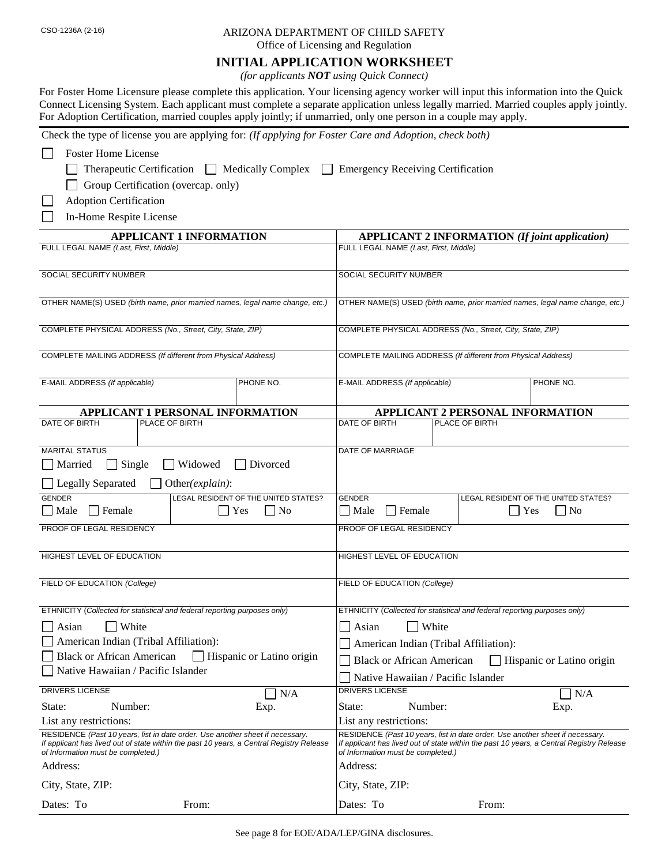## CSO-1236A (2-16) ARIZONA DEPARTMENT OF CHILD SAFETY

Office of Licensing and Regulation

## **INITIAL APPLICATION WORKSHEET**

*(for applicants NOT using Quick Connect)*

| For Foster Home Licensure please complete this application. Your licensing agency worker will input this information into the Quick  |
|--------------------------------------------------------------------------------------------------------------------------------------|
| Connect Licensing System. Each applicant must complete a separate application unless legally married. Married couples apply jointly. |
| For Adoption Certification, married couples apply jointly; if unmarried, only one person in a couple may apply.                      |

Check the type of license you are applying for: *(If applying for Foster Care and Adoption, check both)*

| <b>Foster Home License</b>                                                                                                                                                                                      |                           |                                                                           |                                       |                                                                                                                                                                           |
|-----------------------------------------------------------------------------------------------------------------------------------------------------------------------------------------------------------------|---------------------------|---------------------------------------------------------------------------|---------------------------------------|---------------------------------------------------------------------------------------------------------------------------------------------------------------------------|
| Therapeutic Certification Medically Complex                                                                                                                                                                     | $\perp$                   | <b>Emergency Receiving Certification</b>                                  |                                       |                                                                                                                                                                           |
| Group Certification (overcap. only)                                                                                                                                                                             |                           |                                                                           |                                       |                                                                                                                                                                           |
| <b>Adoption Certification</b>                                                                                                                                                                                   |                           |                                                                           |                                       |                                                                                                                                                                           |
| In-Home Respite License                                                                                                                                                                                         |                           |                                                                           |                                       |                                                                                                                                                                           |
| <b>APPLICANT 1 INFORMATION</b>                                                                                                                                                                                  |                           |                                                                           |                                       | <b>APPLICANT 2 INFORMATION (If joint application)</b>                                                                                                                     |
| FULL LEGAL NAME (Last, First, Middle)                                                                                                                                                                           |                           | FULL LEGAL NAME (Last, First, Middle)                                     |                                       |                                                                                                                                                                           |
|                                                                                                                                                                                                                 |                           |                                                                           |                                       |                                                                                                                                                                           |
| <b>SOCIAL SECURITY NUMBER</b>                                                                                                                                                                                   |                           | SOCIAL SECURITY NUMBER                                                    |                                       |                                                                                                                                                                           |
| OTHER NAME(S) USED (birth name, prior married names, legal name change, etc.)                                                                                                                                   |                           |                                                                           |                                       | OTHER NAME(S) USED (birth name, prior married names, legal name change, etc.)                                                                                             |
|                                                                                                                                                                                                                 |                           |                                                                           |                                       |                                                                                                                                                                           |
| COMPLETE PHYSICAL ADDRESS (No., Street, City, State, ZIP)                                                                                                                                                       |                           | COMPLETE PHYSICAL ADDRESS (No., Street, City, State, ZIP)                 |                                       |                                                                                                                                                                           |
|                                                                                                                                                                                                                 |                           |                                                                           |                                       |                                                                                                                                                                           |
| COMPLETE MAILING ADDRESS (If different from Physical Address)                                                                                                                                                   |                           | COMPLETE MAILING ADDRESS (If different from Physical Address)             |                                       |                                                                                                                                                                           |
|                                                                                                                                                                                                                 | PHONE NO.                 |                                                                           |                                       | PHONE NO.                                                                                                                                                                 |
| E-MAIL ADDRESS (If applicable)                                                                                                                                                                                  |                           | E-MAIL ADDRESS (If applicable)                                            |                                       |                                                                                                                                                                           |
| APPLICANT 1 PERSONAL INFORMATION                                                                                                                                                                                |                           |                                                                           |                                       | APPLICANT 2 PERSONAL INFORMATION                                                                                                                                          |
| DATE OF BIRTH<br>PLACE OF BIRTH                                                                                                                                                                                 |                           | DATE OF BIRTH                                                             | PLACE OF BIRTH                        |                                                                                                                                                                           |
|                                                                                                                                                                                                                 |                           |                                                                           |                                       |                                                                                                                                                                           |
| <b>MARITAL STATUS</b>                                                                                                                                                                                           |                           | DATE OF MARRIAGE                                                          |                                       |                                                                                                                                                                           |
| $\Box$ Single<br>Widowed<br>Married                                                                                                                                                                             | Divorced                  |                                                                           |                                       |                                                                                                                                                                           |
| Legally Separated<br>Other(explain):                                                                                                                                                                            |                           |                                                                           |                                       |                                                                                                                                                                           |
| <b>GENDER</b><br>LEGAL RESIDENT OF THE UNITED STATES?                                                                                                                                                           | <b>GENDER</b>             |                                                                           | LEGAL RESIDENT OF THE UNITED STATES?  |                                                                                                                                                                           |
| $\Box$ Male<br>$\Box$ Female                                                                                                                                                                                    | $\Box$ Yes<br>$\Box$ No   | $\Box$ Female<br>$\Box$ Male                                              |                                       | $\Box$ No<br>$\blacksquare$ Yes                                                                                                                                           |
| PROOF OF LEGAL RESIDENCY                                                                                                                                                                                        |                           | PROOF OF LEGAL RESIDENCY                                                  |                                       |                                                                                                                                                                           |
| HIGHEST LEVEL OF EDUCATION                                                                                                                                                                                      |                           | HIGHEST LEVEL OF EDUCATION                                                |                                       |                                                                                                                                                                           |
|                                                                                                                                                                                                                 |                           |                                                                           |                                       |                                                                                                                                                                           |
| FIELD OF EDUCATION (College)                                                                                                                                                                                    |                           | FIELD OF EDUCATION (College)                                              |                                       |                                                                                                                                                                           |
|                                                                                                                                                                                                                 |                           |                                                                           |                                       |                                                                                                                                                                           |
| ETHNICITY (Collected for statistical and federal reporting purposes only)                                                                                                                                       |                           | ETHNICITY (Collected for statistical and federal reporting purposes only) |                                       |                                                                                                                                                                           |
| White<br>Asian                                                                                                                                                                                                  |                           | Asian                                                                     | White                                 |                                                                                                                                                                           |
| American Indian (Tribal Affiliation):                                                                                                                                                                           |                           |                                                                           | American Indian (Tribal Affiliation): |                                                                                                                                                                           |
| <b>Black or African American</b>                                                                                                                                                                                | Hispanic or Latino origin | <b>Black or African American</b>                                          |                                       | Hispanic or Latino origin                                                                                                                                                 |
| Native Hawaiian / Pacific Islander                                                                                                                                                                              |                           |                                                                           | Native Hawaiian / Pacific Islander    |                                                                                                                                                                           |
| DRIVERS LICENSE                                                                                                                                                                                                 | N/A<br>$\mathbf{I}$       | <b>DRIVERS LICENSE</b>                                                    |                                       | N/A                                                                                                                                                                       |
| Number:<br>State:                                                                                                                                                                                               | Exp.                      | State:                                                                    | Number:                               | Exp.                                                                                                                                                                      |
| List any restrictions:                                                                                                                                                                                          |                           | List any restrictions:                                                    |                                       |                                                                                                                                                                           |
| RESIDENCE (Past 10 years, list in date order. Use another sheet if necessary.<br>If applicant has lived out of state within the past 10 years, a Central Registry Release<br>of Information must be completed.) |                           | of Information must be completed.)                                        |                                       | RESIDENCE (Past 10 years, list in date order. Use another sheet if necessary.<br>If applicant has lived out of state within the past 10 years, a Central Registry Release |
| Address:                                                                                                                                                                                                        |                           | Address:                                                                  |                                       |                                                                                                                                                                           |
| City, State, ZIP:                                                                                                                                                                                               |                           | City, State, ZIP:                                                         |                                       |                                                                                                                                                                           |
| Dates: To<br>From:                                                                                                                                                                                              |                           | Dates: To                                                                 | From:                                 |                                                                                                                                                                           |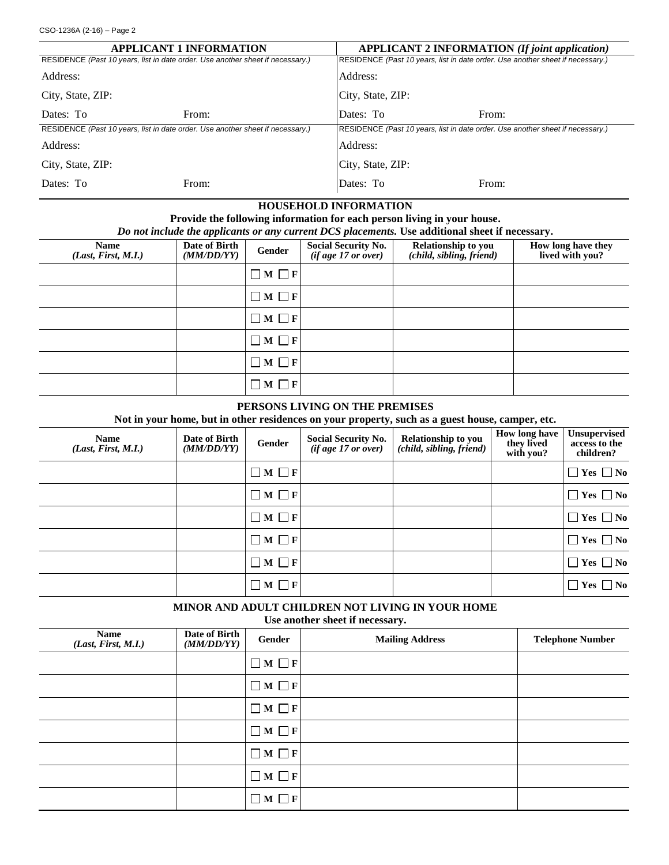|                                                                                | <b>APPLICANT 1 INFORMATION</b> | <b>APPLICANT 2 INFORMATION (If joint application)</b>                          |       |  |
|--------------------------------------------------------------------------------|--------------------------------|--------------------------------------------------------------------------------|-------|--|
| RESIDENCE (Past 10 years, list in date order. Use another sheet if necessary.) |                                | RESIDENCE (Past 10 years, list in date order. Use another sheet if necessary.) |       |  |
| Address:                                                                       |                                | Address:                                                                       |       |  |
| City, State, ZIP:<br>City, State, ZIP:                                         |                                |                                                                                |       |  |
| Dates: To                                                                      | From:                          | Dates: To                                                                      | From: |  |
| RESIDENCE (Past 10 years, list in date order. Use another sheet if necessary.) |                                | RESIDENCE (Past 10 years, list in date order. Use another sheet if necessary.) |       |  |
| Address:                                                                       |                                | Address:                                                                       |       |  |
| City, State, ZIP:                                                              |                                | City, State, ZIP:                                                              |       |  |
| Dates: To                                                                      | From:                          | Dates: To                                                                      | From: |  |

### **HOUSEHOLD INFORMATION**

**Provide the following information for each person living in your house.** *Do not include the applicants or any current DCS placements.* **Use additional sheet if necessary.**

| <b>Name</b><br>(Last, First, M.I.) | Date of Birth<br>(MM/DD/YY) | Gender          | Social Security No.<br>( <i>if age 17 or over</i> ) | Relationship to you<br>(child, sibling, friend) | How long have they<br>lived with you? |
|------------------------------------|-----------------------------|-----------------|-----------------------------------------------------|-------------------------------------------------|---------------------------------------|
|                                    |                             | $\Box M \Box F$ |                                                     |                                                 |                                       |
|                                    |                             | $\Box M \Box F$ |                                                     |                                                 |                                       |
|                                    |                             | $\Box M \Box F$ |                                                     |                                                 |                                       |
|                                    |                             | $\Box M \Box F$ |                                                     |                                                 |                                       |
|                                    |                             | $\Box M \Box F$ |                                                     |                                                 |                                       |
|                                    |                             | $\Box M \Box F$ |                                                     |                                                 |                                       |

#### **PERSONS LIVING ON THE PREMISES**

**Not in your home, but in other residences on your property, such as a guest house, camper, etc.**

| <b>Name</b><br>(Last, First, M.I.) | Date of Birth<br>(MM/DD/YY) | Gender          | <b>Social Security No.</b><br>$(ifage\ 17\ or\ over)$ | Relationship to you<br>(child, sibling, friend) | <b>How long have</b><br>they lived<br>with you? | Unsupervised<br>access to the<br>children? |
|------------------------------------|-----------------------------|-----------------|-------------------------------------------------------|-------------------------------------------------|-------------------------------------------------|--------------------------------------------|
|                                    |                             | $\Box M \Box F$ |                                                       |                                                 |                                                 | $\Box$ Yes $\Box$ No                       |
|                                    |                             | $\Box M \Box F$ |                                                       |                                                 |                                                 | $\Box$ Yes $\Box$ No                       |
|                                    |                             | $\Box M \Box F$ |                                                       |                                                 |                                                 | $\Box$ Yes $\Box$ No                       |
|                                    |                             | $\Box M \Box F$ |                                                       |                                                 |                                                 | $\Box$ Yes $\Box$ No                       |
|                                    |                             | $\Box M \Box F$ |                                                       |                                                 |                                                 | $\Box$ Yes $\Box$ No                       |
|                                    |                             | $\Box M \Box F$ |                                                       |                                                 |                                                 | $\Box$ Yes $\Box$ No                       |

**MINOR AND ADULT CHILDREN NOT LIVING IN YOUR HOME Use another sheet if necessary.**

| Name<br>(Last, First, M.I.) | Date of Birth<br>(MM/DD/YY) | Gender            | <b>Mailing Address</b> | <b>Telephone Number</b> |
|-----------------------------|-----------------------------|-------------------|------------------------|-------------------------|
|                             |                             | $\Box M \Box F$   |                        |                         |
|                             |                             | $\Box M \Box F$   |                        |                         |
|                             |                             | $\Box M \Box F$   |                        |                         |
|                             |                             | $\Box M \Box F$   |                        |                         |
|                             |                             | $\Box M \Box F$   |                        |                         |
|                             |                             | $\Box M \Box F$   |                        |                         |
|                             |                             | $\Box$ M $\Box$ F |                        |                         |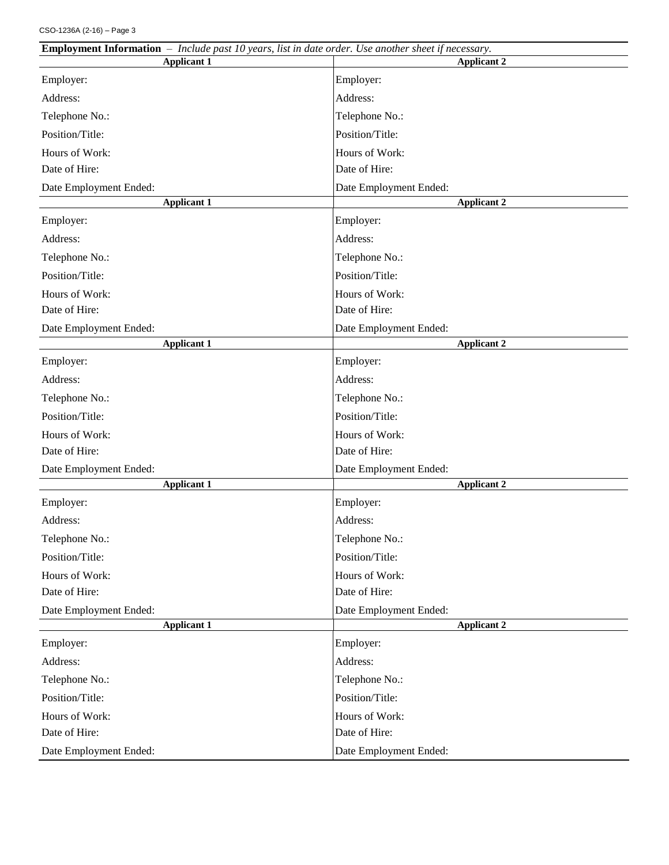| <b>Employment Information</b> $-$ Include past 10 years, list in date order. Use another sheet if necessary. |                        |  |  |
|--------------------------------------------------------------------------------------------------------------|------------------------|--|--|
| <b>Applicant 1</b>                                                                                           | <b>Applicant 2</b>     |  |  |
| Employer:                                                                                                    | Employer:              |  |  |
| Address:                                                                                                     | Address:               |  |  |
| Telephone No.:                                                                                               | Telephone No.:         |  |  |
| Position/Title:                                                                                              | Position/Title:        |  |  |
| Hours of Work:                                                                                               | Hours of Work:         |  |  |
| Date of Hire:                                                                                                | Date of Hire:          |  |  |
| Date Employment Ended:                                                                                       | Date Employment Ended: |  |  |
| <b>Applicant 1</b>                                                                                           | <b>Applicant 2</b>     |  |  |
| Employer:                                                                                                    | Employer:              |  |  |
| Address:                                                                                                     | Address:               |  |  |
| Telephone No.:                                                                                               | Telephone No.:         |  |  |
| Position/Title:                                                                                              | Position/Title:        |  |  |
| Hours of Work:                                                                                               | Hours of Work:         |  |  |
| Date of Hire:                                                                                                | Date of Hire:          |  |  |
| Date Employment Ended:                                                                                       | Date Employment Ended: |  |  |
| <b>Applicant 1</b>                                                                                           | <b>Applicant 2</b>     |  |  |
| Employer:                                                                                                    | Employer:              |  |  |
| Address:                                                                                                     | Address:               |  |  |
| Telephone No.:                                                                                               | Telephone No.:         |  |  |
| Position/Title:                                                                                              | Position/Title:        |  |  |
| Hours of Work:                                                                                               | Hours of Work:         |  |  |
| Date of Hire:                                                                                                | Date of Hire:          |  |  |
| Date Employment Ended:                                                                                       | Date Employment Ended: |  |  |
| <b>Applicant 1</b>                                                                                           | <b>Applicant 2</b>     |  |  |
| Employer:                                                                                                    | Employer:              |  |  |
| Address:                                                                                                     | Address:               |  |  |
| Telephone No.:                                                                                               | Telephone No.:         |  |  |
| Position/Title:                                                                                              | Position/Title:        |  |  |
| Hours of Work:                                                                                               | Hours of Work:         |  |  |
| Date of Hire:                                                                                                | Date of Hire:          |  |  |
| Date Employment Ended:                                                                                       | Date Employment Ended: |  |  |
| <b>Applicant 1</b>                                                                                           | <b>Applicant 2</b>     |  |  |
| Employer:                                                                                                    | Employer:              |  |  |
| Address:                                                                                                     | Address:               |  |  |
| Telephone No.:                                                                                               | Telephone No.:         |  |  |
| Position/Title:                                                                                              | Position/Title:        |  |  |
| Hours of Work:                                                                                               | Hours of Work:         |  |  |
| Date of Hire:                                                                                                | Date of Hire:          |  |  |
| Date Employment Ended:                                                                                       | Date Employment Ended: |  |  |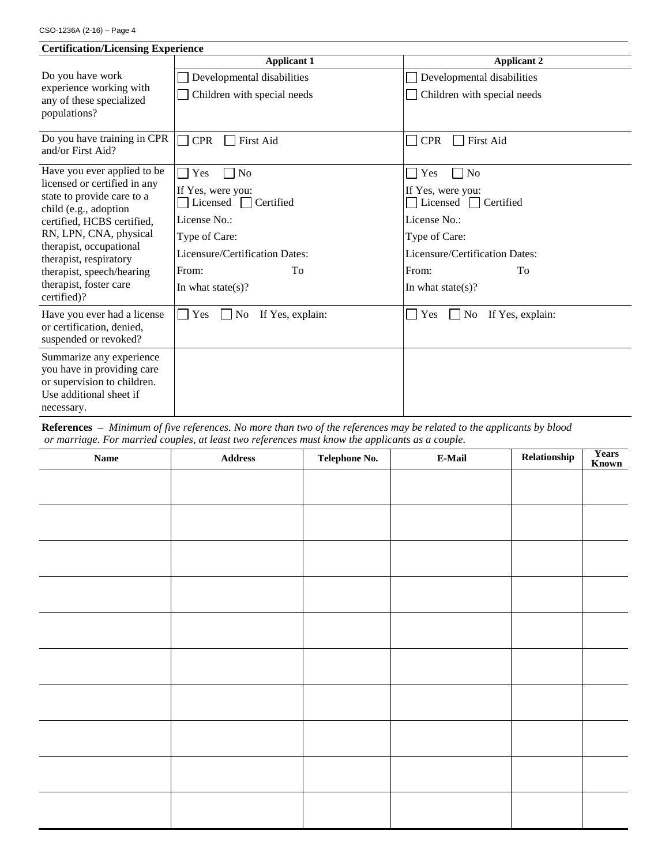| <b>Certification/Licensing Experience</b>                                                                                      |                                                   |                                                           |  |  |
|--------------------------------------------------------------------------------------------------------------------------------|---------------------------------------------------|-----------------------------------------------------------|--|--|
|                                                                                                                                | <b>Applicant 1</b>                                | <b>Applicant 2</b>                                        |  |  |
| Do you have work                                                                                                               | Developmental disabilities                        | Developmental disabilities                                |  |  |
| experience working with<br>any of these specialized<br>populations?                                                            | Children with special needs                       | Children with special needs                               |  |  |
|                                                                                                                                |                                                   |                                                           |  |  |
| Do you have training in CPR<br>and/or First Aid?                                                                               | <b>CPR</b><br>First Aid                           | <b>CPR</b><br><b>First Aid</b><br>$\mathsf{L}$            |  |  |
| Have you ever applied to be                                                                                                    | N <sub>o</sub><br>Yes                             | $\neg$ No<br>Yes<br>$\mathbf{I}$                          |  |  |
| licensed or certified in any<br>state to provide care to a<br>child (e.g., adoption                                            | If Yes, were you:<br>Licensed $\Box$<br>Certified | If Yes, were you:<br>Licensed $\Box$<br>Certified         |  |  |
| certified, HCBS certified,                                                                                                     | License No.:                                      | License No.:                                              |  |  |
| RN, LPN, CNA, physical                                                                                                         | Type of Care:                                     | Type of Care:                                             |  |  |
| therapist, occupational<br>therapist, respiratory                                                                              | Licensure/Certification Dates:                    | Licensure/Certification Dates:                            |  |  |
| therapist, speech/hearing                                                                                                      | From:<br>To                                       | From:<br>To                                               |  |  |
| therapist, foster care<br>certified)?                                                                                          | In what state(s)?                                 | In what state(s)?                                         |  |  |
| Have you ever had a license<br>or certification, denied,<br>suspended or revoked?                                              | Yes<br>No<br>If Yes, explain:<br>L                | Yes<br>$\mathsf{L}$<br>N <sub>0</sub><br>If Yes, explain: |  |  |
| Summarize any experience<br>you have in providing care<br>or supervision to children.<br>Use additional sheet if<br>necessary. |                                                   |                                                           |  |  |

**References –** *Minimum of five references. No more than two of the references may be related to the applicants by blood or marriage. For married couples, at least two references must know the applicants as a couple.*

| <b>Name</b> | $\large\bf Address$ | Telephone No. | $E$ -Mail | Relationship | Years<br>Known |
|-------------|---------------------|---------------|-----------|--------------|----------------|
|             |                     |               |           |              |                |
|             |                     |               |           |              |                |
|             |                     |               |           |              |                |
|             |                     |               |           |              |                |
|             |                     |               |           |              |                |
|             |                     |               |           |              |                |
|             |                     |               |           |              |                |
|             |                     |               |           |              |                |
|             |                     |               |           |              |                |
|             |                     |               |           |              |                |
|             |                     |               |           |              |                |
|             |                     |               |           |              |                |
|             |                     |               |           |              |                |
|             |                     |               |           |              |                |
|             |                     |               |           |              |                |
|             |                     |               |           |              |                |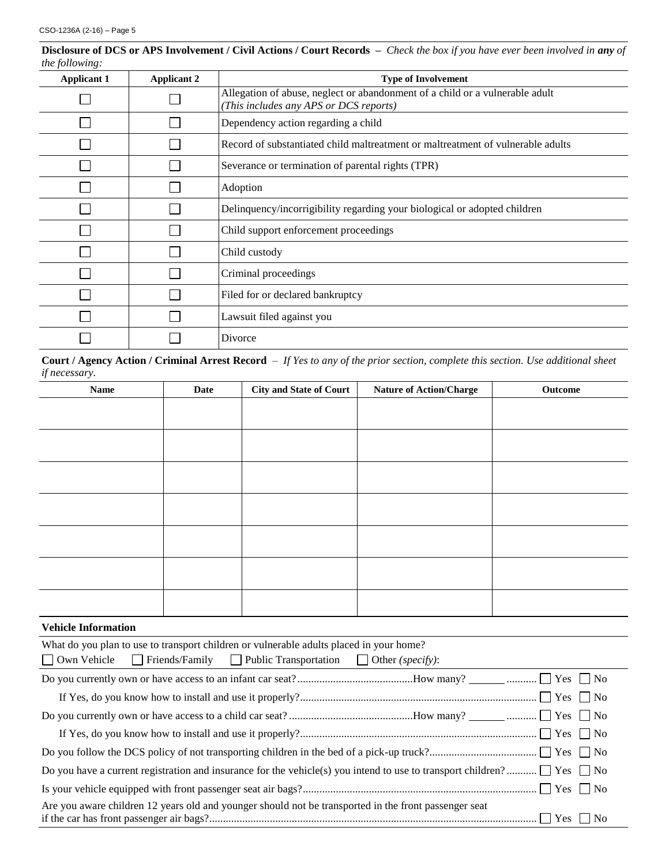| the following:     |                    |                                                                                                                        |
|--------------------|--------------------|------------------------------------------------------------------------------------------------------------------------|
| <b>Applicant 1</b> | <b>Applicant 2</b> | <b>Type of Involvement</b>                                                                                             |
|                    |                    | Allegation of abuse, neglect or abandonment of a child or a vulnerable adult<br>(This includes any APS or DCS reports) |
|                    |                    | Dependency action regarding a child                                                                                    |
|                    |                    | Record of substantiated child maltreatment or maltreatment of vulnerable adults                                        |
|                    |                    | Severance or termination of parental rights (TPR)                                                                      |
|                    |                    | Adoption                                                                                                               |
|                    |                    | Delinquency/incorrigibility regarding your biological or adopted children                                              |
|                    |                    | Child support enforcement proceedings                                                                                  |
|                    |                    | Child custody                                                                                                          |
|                    |                    | Criminal proceedings                                                                                                   |
|                    |                    | Filed for or declared bankruptcy                                                                                       |
|                    |                    | Lawsuit filed against you                                                                                              |
|                    |                    | Divorce                                                                                                                |

**Disclosure of DCS or APS Involvement / Civil Actions / Court Records –** *Check the box if you have ever been involved in any of* 

**Court / Agency Action / Criminal Arrest Record** – *If Yes to any of the prior section, complete this section. Use additional sheet if necessary.*

| Name         | Date | <b>City and State of Court</b> | <b>Nature of Action/Charge</b> | Outcome |
|--------------|------|--------------------------------|--------------------------------|---------|
|              |      |                                |                                |         |
|              |      |                                |                                |         |
|              |      |                                |                                |         |
|              |      |                                |                                |         |
|              |      |                                |                                |         |
|              |      |                                |                                |         |
|              |      |                                |                                |         |
|              |      |                                |                                |         |
|              |      |                                |                                |         |
|              |      |                                |                                |         |
|              |      |                                |                                |         |
|              |      |                                |                                |         |
|              |      |                                |                                |         |
| $\mathbf{v}$ |      |                                |                                |         |

#### **Vehicle Information**

| What do you plan to use to transport children or vulnerable adults placed in your home?                                                                                  |  |  |  |  |  |
|--------------------------------------------------------------------------------------------------------------------------------------------------------------------------|--|--|--|--|--|
| $\Box$ Own Vehicle $\Box$ Friends/Family $\Box$ Public Transportation $\Box$ Other (specify):                                                                            |  |  |  |  |  |
|                                                                                                                                                                          |  |  |  |  |  |
|                                                                                                                                                                          |  |  |  |  |  |
|                                                                                                                                                                          |  |  |  |  |  |
|                                                                                                                                                                          |  |  |  |  |  |
|                                                                                                                                                                          |  |  |  |  |  |
|                                                                                                                                                                          |  |  |  |  |  |
|                                                                                                                                                                          |  |  |  |  |  |
| Are you aware children 12 years old and younger should not be transported in the front passenger seat<br>$\Box$ $V$ $\Box$ $M$<br>$10.4$ . $1.1$ $0.1$ $0.1$ $0.1$ $0.1$ |  |  |  |  |  |

if the car has front passenger air bags?....................................................................................................................... Yes No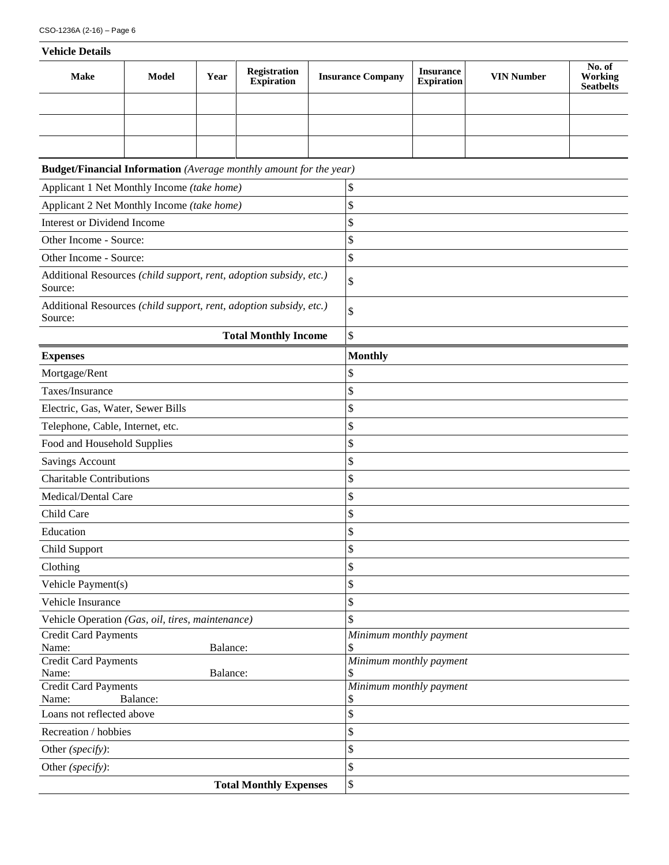| <b>Vehicle Details</b>                                                           |              |      |                                          |                               |                          |                                       |                   |                                       |  |
|----------------------------------------------------------------------------------|--------------|------|------------------------------------------|-------------------------------|--------------------------|---------------------------------------|-------------------|---------------------------------------|--|
| <b>Make</b>                                                                      | <b>Model</b> | Year | <b>Registration</b><br><b>Expiration</b> |                               | <b>Insurance Company</b> | <b>Insurance</b><br><b>Expiration</b> | <b>VIN Number</b> | No. of<br>Working<br><b>Seatbelts</b> |  |
|                                                                                  |              |      |                                          |                               |                          |                                       |                   |                                       |  |
|                                                                                  |              |      |                                          |                               |                          |                                       |                   |                                       |  |
|                                                                                  |              |      |                                          |                               |                          |                                       |                   |                                       |  |
| <b>Budget/Financial Information</b> (Average monthly amount for the year)        |              |      |                                          |                               |                          |                                       |                   |                                       |  |
|                                                                                  |              |      |                                          |                               | \$                       |                                       |                   |                                       |  |
| Applicant 1 Net Monthly Income (take home)                                       |              |      |                                          |                               |                          |                                       |                   |                                       |  |
| Applicant 2 Net Monthly Income (take home)<br><b>Interest or Dividend Income</b> |              |      |                                          | \$<br>\$                      |                          |                                       |                   |                                       |  |
| Other Income - Source:                                                           |              |      |                                          |                               |                          |                                       |                   |                                       |  |
| Other Income - Source:                                                           |              |      |                                          |                               | \$                       |                                       |                   |                                       |  |
|                                                                                  |              |      |                                          |                               |                          | \$                                    |                   |                                       |  |
| Additional Resources (child support, rent, adoption subsidy, etc.)<br>Source:    |              |      |                                          |                               | \$                       |                                       |                   |                                       |  |
| Additional Resources (child support, rent, adoption subsidy, etc.)<br>Source:    |              |      |                                          | \$                            |                          |                                       |                   |                                       |  |
|                                                                                  |              |      | <b>Total Monthly Income</b>              |                               | \$                       |                                       |                   |                                       |  |
| <b>Expenses</b>                                                                  |              |      |                                          |                               | <b>Monthly</b>           |                                       |                   |                                       |  |
| Mortgage/Rent                                                                    |              |      |                                          |                               | \$                       |                                       |                   |                                       |  |
| Taxes/Insurance                                                                  |              |      |                                          |                               | \$                       |                                       |                   |                                       |  |
| Electric, Gas, Water, Sewer Bills                                                |              |      |                                          |                               | \$                       |                                       |                   |                                       |  |
| Telephone, Cable, Internet, etc.                                                 |              |      |                                          |                               | \$                       |                                       |                   |                                       |  |
| Food and Household Supplies                                                      |              |      |                                          |                               | \$                       |                                       |                   |                                       |  |
| <b>Savings Account</b>                                                           |              |      |                                          |                               | \$                       |                                       |                   |                                       |  |
| <b>Charitable Contributions</b>                                                  |              |      |                                          |                               | \$                       |                                       |                   |                                       |  |
| Medical/Dental Care                                                              |              |      |                                          |                               | \$                       |                                       |                   |                                       |  |
| Child Care                                                                       |              |      |                                          |                               | \$                       |                                       |                   |                                       |  |
| Education                                                                        |              |      |                                          |                               | \$                       |                                       |                   |                                       |  |
| Child Support                                                                    |              |      |                                          |                               | \$                       |                                       |                   |                                       |  |
| Clothing                                                                         |              |      |                                          |                               | \$                       |                                       |                   |                                       |  |
| Vehicle Payment(s)                                                               |              |      |                                          |                               | \$                       |                                       |                   |                                       |  |
| Vehicle Insurance                                                                |              |      |                                          |                               | \$                       |                                       |                   |                                       |  |
| Vehicle Operation (Gas, oil, tires, maintenance)                                 |              |      | \$                                       |                               |                          |                                       |                   |                                       |  |
| Credit Card Payments                                                             |              |      | Minimum monthly payment                  |                               |                          |                                       |                   |                                       |  |
| Name:<br>Balance:                                                                |              |      | \$                                       |                               |                          |                                       |                   |                                       |  |
| <b>Credit Card Payments</b><br>Balance:<br>Name:                                 |              |      |                                          | Minimum monthly payment<br>\$ |                          |                                       |                   |                                       |  |
| <b>Credit Card Payments</b>                                                      |              |      |                                          |                               | Minimum monthly payment  |                                       |                   |                                       |  |
| Name:<br>Balance:                                                                |              |      |                                          | \$                            |                          |                                       |                   |                                       |  |
| Loans not reflected above                                                        |              |      |                                          |                               | \$                       |                                       |                   |                                       |  |
| Recreation / hobbies                                                             |              |      |                                          |                               | \$                       |                                       |                   |                                       |  |
| Other (specify):                                                                 |              |      |                                          |                               | \$                       |                                       |                   |                                       |  |
| Other (specify):                                                                 |              |      |                                          |                               | \$                       |                                       |                   |                                       |  |
|                                                                                  |              |      | <b>Total Monthly Expenses</b>            |                               | \$                       |                                       |                   |                                       |  |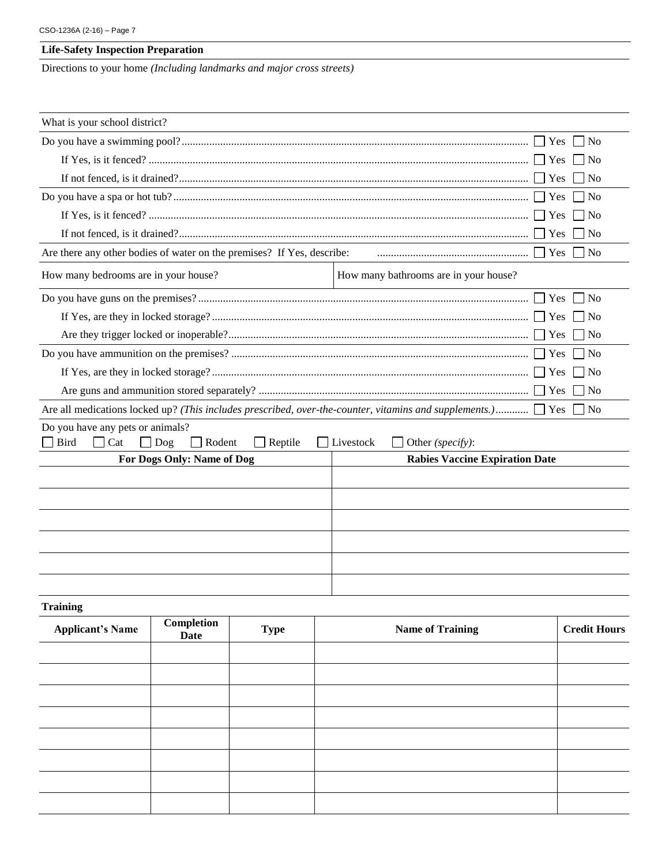# **Life-Safety Inspection Preparation**

Directions to your home *(Including landmarks and major cross streets)*

| What is your school district?                                                                                                     |                                       |  |  |  |  |
|-----------------------------------------------------------------------------------------------------------------------------------|---------------------------------------|--|--|--|--|
|                                                                                                                                   | l No                                  |  |  |  |  |
| 1 No                                                                                                                              |                                       |  |  |  |  |
| l No                                                                                                                              |                                       |  |  |  |  |
| N <sub>0</sub>                                                                                                                    |                                       |  |  |  |  |
| $\overline{\phantom{a}}$ No                                                                                                       |                                       |  |  |  |  |
| $\log$                                                                                                                            |                                       |  |  |  |  |
| Are there any other bodies of water on the premises? If Yes, describe:<br>$\ldots$ $\Gamma$ Yes<br>N <sub>o</sub>                 |                                       |  |  |  |  |
| How many bedrooms are in your house?                                                                                              | How many bathrooms are in your house? |  |  |  |  |
| $\overline{N_{0}}$                                                                                                                |                                       |  |  |  |  |
| $\overline{N}$                                                                                                                    |                                       |  |  |  |  |
| l No                                                                                                                              |                                       |  |  |  |  |
|                                                                                                                                   | $\overline{\text{No}}$                |  |  |  |  |
| N <sub>0</sub>                                                                                                                    |                                       |  |  |  |  |
| $\exists$ No                                                                                                                      |                                       |  |  |  |  |
| Are all medications locked up? (This includes prescribed, over-the-counter, vitamins and supplements.) $\Box$ Yes                 | N <sub>o</sub>                        |  |  |  |  |
| Do you have any pets or animals?<br>Bird<br>$\Box$ Rodent<br>$\Box$ Reptile<br>Cat<br>Dog<br>$\Box$ Livestock<br>Other (specify): |                                       |  |  |  |  |
| For Dogs Only: Name of Dog                                                                                                        | <b>Rabies Vaccine Expiration Date</b> |  |  |  |  |
|                                                                                                                                   |                                       |  |  |  |  |
|                                                                                                                                   |                                       |  |  |  |  |
|                                                                                                                                   |                                       |  |  |  |  |
|                                                                                                                                   |                                       |  |  |  |  |
|                                                                                                                                   |                                       |  |  |  |  |
|                                                                                                                                   |                                       |  |  |  |  |
|                                                                                                                                   |                                       |  |  |  |  |
| <b>Training</b>                                                                                                                   |                                       |  |  |  |  |

| Completion<br><b>Applicant's Name</b><br>Date |  | <b>Type</b> | <b>Name of Training</b> | <b>Credit Hours</b> |
|-----------------------------------------------|--|-------------|-------------------------|---------------------|
|                                               |  |             |                         |                     |
|                                               |  |             |                         |                     |
|                                               |  |             |                         |                     |
|                                               |  |             |                         |                     |
|                                               |  |             |                         |                     |
|                                               |  |             |                         |                     |
|                                               |  |             |                         |                     |
|                                               |  |             |                         |                     |